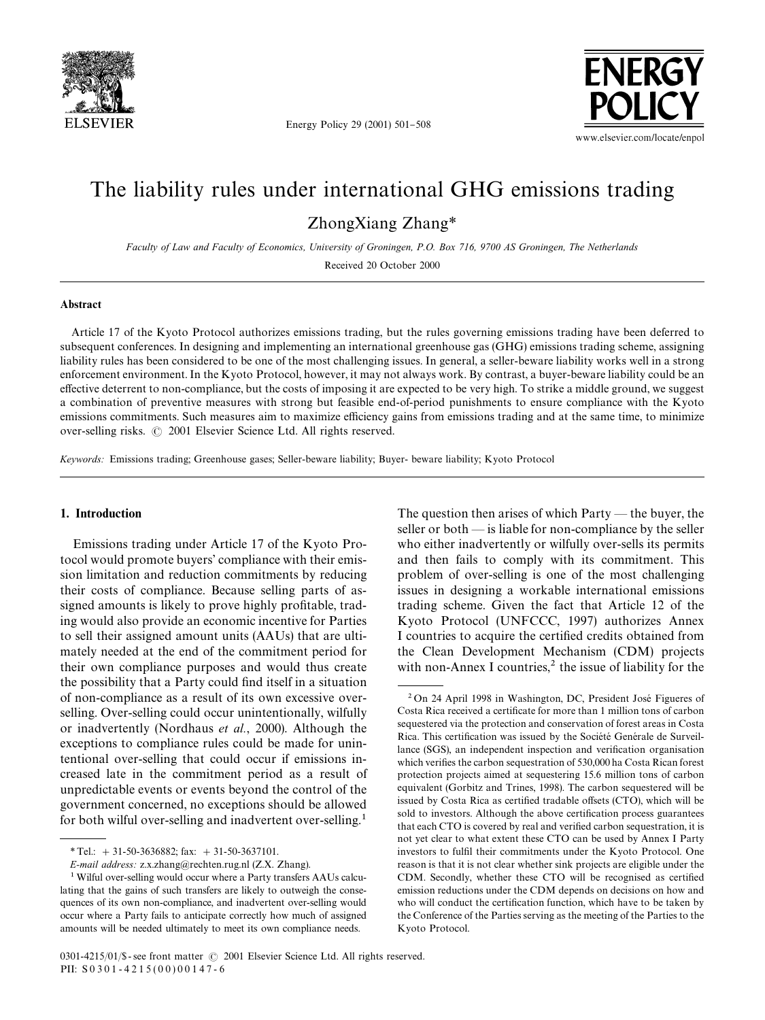

Energy Policy 29 (2001) 501-508



# The liability rules under international GHG emissions trading

ZhongXiang Zhang*\**

*Faculty of Law and Faculty of Economics, University of Groningen, P.O. Box 716, 9700 AS Groningen, The Netherlands*

Received 20 October 2000

### Abstract

Article 17 of the Kyoto Protocol authorizes emissions trading, but the rules governing emissions trading have been deferred to subsequent conferences. In designing and implementing an international greenhouse gas (GHG) emissions trading scheme, assigning liability rules has been considered to be one of the most challenging issues. In general, a seller-beware liability works well in a strong enforcement environment. In the Kyoto Protocol, however, it may not always work. By contrast, a buyer-beware liability could be an effective deterrent to non-compliance, but the costs of imposing it are expected to be very high. To strike a middle ground, we suggest a combination of preventive measures with strong but feasible end-of-period punishments to ensure compliance with the Kyoto emissions commitments. Such measures aim to maximize efficiency gains from emissions trading and at the same time, to minimize over-selling risks.  $\odot$  2001 Elsevier Science Ltd. All rights reserved.

*Keywords:* Emissions trading; Greenhouse gases; Seller-beware liability; Buyer- beware liability; Kyoto Protocol

## 1. Introduction

Emissions trading under Article 17 of the Kyoto Protocol would promote buyers' compliance with their emission limitation and reduction commitments by reducing their costs of compliance. Because selling parts of assigned amounts is likely to prove highly profitable, trading would also provide an economic incentive for Parties to sell their assigned amount units (AAUs) that are ultimately needed at the end of the commitment period for their own compliance purposes and would thus create the possibility that a Party could find itself in a situation of non-compliance as a result of its own excessive overselling. Over-selling could occur unintentionally, wilfully or inadvertently (Nordhaus *et al.*, 2000). Although the exceptions to compliance rules could be made for unintentional over-selling that could occur if emissions increased late in the commitment period as a result of unpredictable events or events beyond the control of the government concerned, no exceptions should be allowed for both wilful over-selling and inadvertent over-selling.<sup>1</sup>

The question then arises of which  $Party$  — the buyer, the seller or both  $-$  is liable for non-compliance by the seller who either inadvertently or wilfully over-sells its permits and then fails to comply with its commitment. This problem of over-selling is one of the most challenging issues in designing a workable international emissions trading scheme. Given the fact that Article 12 of the Kyoto Protocol (UNFCCC, 1997) authorizes Annex I countries to acquire the certified credits obtained from the Clean Development Mechanism (CDM) projects with non-Annex I countries, $\lambda$  the issue of liability for the

*<sup>\*</sup>*Tel.: #31-50-3636882; fax: #31-50-3637101.

*E-mail address:* z.x.zhang@rechten.rug.nl (Z.X. Zhang).

<sup>&</sup>lt;sup>1</sup> Wilful over-selling would occur where a Party transfers AAUs calculating that the gains of such transfers are likely to outweigh the consequences of its own non-compliance, and inadvertent over-selling would occur where a Party fails to anticipate correctly how much of assigned amounts will be needed ultimately to meet its own compliance needs.

 $2$ On 24 April 1998 in Washington, DC, President José Figueres of Costa Rica received a certificate for more than 1 million tons of carbon sequestered via the protection and conservation of forest areas in Costa Rica. This certification was issued by the Société Genérale de Surveillance (SGS), an independent inspection and verification organisation which verifies the carbon sequestration of 530,000 ha Costa Rican forest protection projects aimed at sequestering 15.6 million tons of carbon equivalent (Gorbitz and Trines, 1998). The carbon sequestered will be issued by Costa Rica as certified tradable offsets (CTO), which will be sold to investors. Although the above certification process guarantees that each CTO is covered by real and verified carbon sequestration, it is not yet clear to what extent these CTO can be used by Annex I Party investors to fulfil their commitments under the Kyoto Protocol. One reason is that it is not clear whether sink projects are eligible under the CDM. Secondly, whether these CTO will be recognised as certified emission reductions under the CDM depends on decisions on how and who will conduct the certification function, which have to be taken by the Conference of the Parties serving as the meeting of the Parties to the Kyoto Protocol.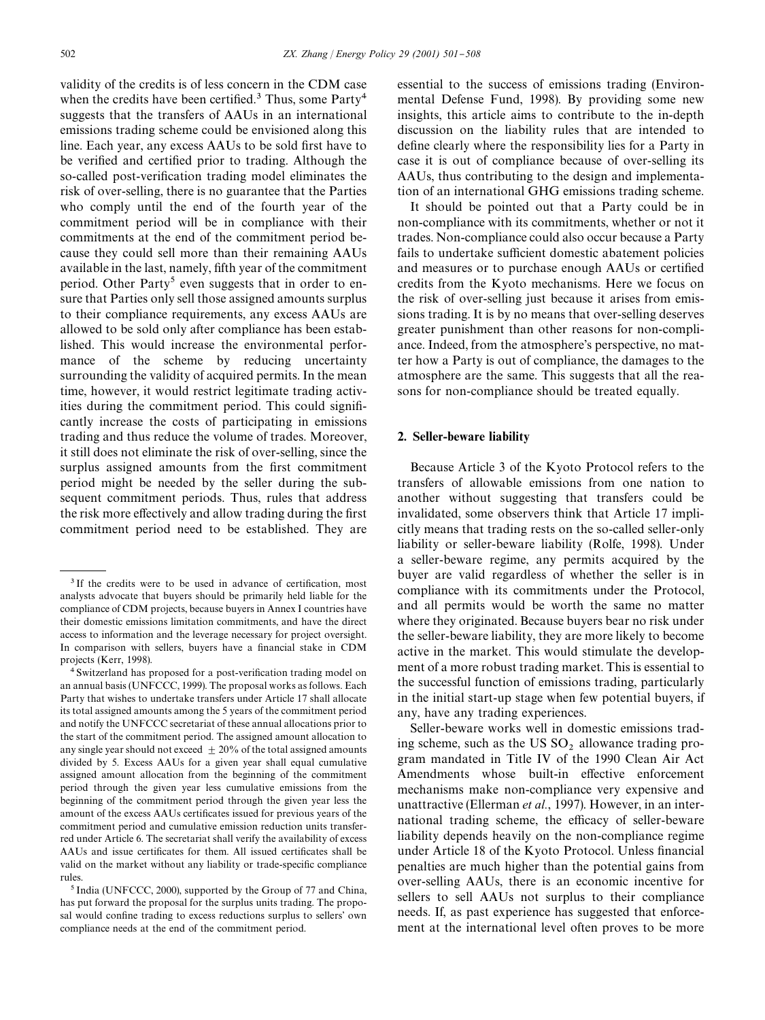validity of the credits is of less concern in the CDM case when the credits have been certified.<sup>3</sup> Thus, some  $Party<sup>4</sup>$ suggests that the transfers of AAUs in an international emissions trading scheme could be envisioned along this line. Each year, any excess AAUs to be sold first have to be verified and certified prior to trading. Although the so-called post-verification trading model eliminates the risk of over-selling, there is no guarantee that the Parties who comply until the end of the fourth year of the commitment period will be in compliance with their commitments at the end of the commitment period because they could sell more than their remaining AAUs available in the last, namely, fifth year of the commitment period. Other Party<sup>5</sup> even suggests that in order to ensure that Parties only sell those assigned amounts surplus to their compliance requirements, any excess AAUs are allowed to be sold only after compliance has been established. This would increase the environmental performance of the scheme by reducing uncertainty surrounding the validity of acquired permits. In the mean time, however, it would restrict legitimate trading activities during the commitment period. This could significantly increase the costs of participating in emissions trading and thus reduce the volume of trades. Moreover, it still does not eliminate the risk of over-selling, since the surplus assigned amounts from the first commitment period might be needed by the seller during the subsequent commitment periods. Thus, rules that address the risk more effectively and allow trading during the first commitment period need to be established. They are

essential to the success of emissions trading (Environmental Defense Fund, 1998). By providing some new insights, this article aims to contribute to the in-depth discussion on the liability rules that are intended to define clearly where the responsibility lies for a Party in case it is out of compliance because of over-selling its AAUs, thus contributing to the design and implementation of an international GHG emissions trading scheme.

It should be pointed out that a Party could be in non-compliance with its commitments, whether or not it trades. Non-compliance could also occur because a Party fails to undertake sufficient domestic abatement policies and measures or to purchase enough AAUs or certified credits from the Kyoto mechanisms. Here we focus on the risk of over-selling just because it arises from emissions trading. It is by no means that over-selling deserves greater punishment than other reasons for non-compliance. Indeed, from the atmosphere's perspective, no matter how a Party is out of compliance, the damages to the atmosphere are the same. This suggests that all the reasons for non-compliance should be treated equally.

#### 2. Seller-beware liability

Because Article 3 of the Kyoto Protocol refers to the transfers of allowable emissions from one nation to another without suggesting that transfers could be invalidated, some observers think that Article 17 implicitly means that trading rests on the so-called seller-only liability or seller-beware liability (Rolfe, 1998). Under a seller-beware regime, any permits acquired by the buyer are valid regardless of whether the seller is in compliance with its commitments under the Protocol, and all permits would be worth the same no matter where they originated. Because buyers bear no risk under the seller-beware liability, they are more likely to become active in the market. This would stimulate the development of a more robust trading market. This is essential to the successful function of emissions trading, particularly in the initial start-up stage when few potential buyers, if any, have any trading experiences.

Seller-beware works well in domestic emissions trading scheme, such as the US  $SO_2$  allowance trading program mandated in Title IV of the 1990 Clean Air Act Amendments whose built-in effective enforcement mechanisms make non-compliance very expensive and unattractive (Ellerman *et al.*, 1997). However, in an international trading scheme, the efficacy of seller-beware liability depends heavily on the non-compliance regime under Article 18 of the Kyoto Protocol. Unless financial penalties are much higher than the potential gains from over-selling AAUs, there is an economic incentive for sellers to sell AAUs not surplus to their compliance needs. If, as past experience has suggested that enforcement at the international level often proves to be more

<sup>&</sup>lt;sup>3</sup> If the credits were to be used in advance of certification, most analysts advocate that buyers should be primarily held liable for the compliance of CDM projects, because buyers in Annex I countries have their domestic emissions limitation commitments, and have the direct access to information and the leverage necessary for project oversight. In comparison with sellers, buyers have a financial stake in CDM projects (Kerr, 1998).

<sup>&</sup>lt;sup>4</sup> Switzerland has proposed for a post-verification trading model on an annual basis (UNFCCC, 1999). The proposal works as follows. Each Party that wishes to undertake transfers under Article 17 shall allocate its total assigned amounts among the 5 years of the commitment period and notify the UNFCCC secretariat of these annual allocations prior to the start of the commitment period. The assigned amount allocation to any single year should not exceed  $\pm 20\%$  of the total assigned amounts divided by 5. Excess AAUs for a given year shall equal cumulative assigned amount allocation from the beginning of the commitment period through the given year less cumulative emissions from the beginning of the commitment period through the given year less the amount of the excess AAUs certificates issued for previous years of the commitment period and cumulative emission reduction units transferred under Article 6. The secretariat shall verify the availability of excess AAUs and issue certificates for them. All issued certificates shall be valid on the market without any liability or trade-specific compliance rules.

<sup>&</sup>lt;sup>5</sup> India (UNFCCC, 2000), supported by the Group of 77 and China, has put forward the proposal for the surplus units trading. The proposal would confine trading to excess reductions surplus to sellers' own compliance needs at the end of the commitment period.